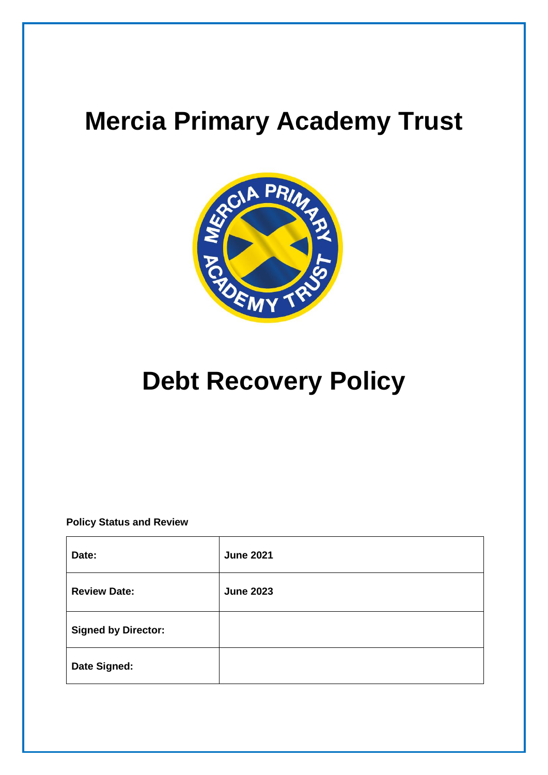# **Mercia Primary Academy Trust**



# **Debt Recovery Policy**

**Policy Status and Review**

| Date:                      | <b>June 2021</b> |
|----------------------------|------------------|
| <b>Review Date:</b>        | <b>June 2023</b> |
| <b>Signed by Director:</b> |                  |
| Date Signed:               |                  |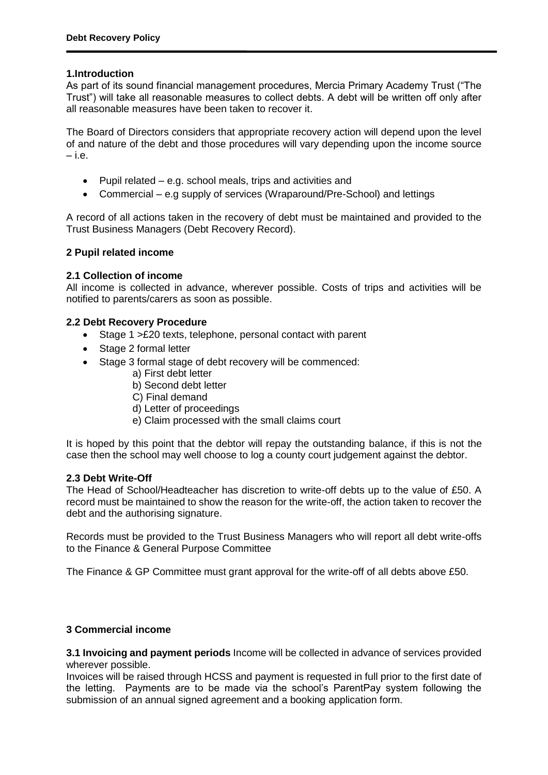#### **1.Introduction**

As part of its sound financial management procedures, Mercia Primary Academy Trust ("The Trust") will take all reasonable measures to collect debts. A debt will be written off only after all reasonable measures have been taken to recover it.

The Board of Directors considers that appropriate recovery action will depend upon the level of and nature of the debt and those procedures will vary depending upon the income source  $-$ i.e.

- Pupil related e.g. school meals, trips and activities and
- Commercial e.g supply of services (Wraparound/Pre-School) and lettings

A record of all actions taken in the recovery of debt must be maintained and provided to the Trust Business Managers (Debt Recovery Record).

#### **2 Pupil related income**

#### **2.1 Collection of income**

All income is collected in advance, wherever possible. Costs of trips and activities will be notified to parents/carers as soon as possible.

#### **2.2 Debt Recovery Procedure**

- Stage 1 > £20 texts, telephone, personal contact with parent
- Stage 2 formal letter
- Stage 3 formal stage of debt recovery will be commenced:
	- a) First debt letter
	- b) Second debt letter
	- C) Final demand
	- d) Letter of proceedings
	- e) Claim processed with the small claims court

It is hoped by this point that the debtor will repay the outstanding balance, if this is not the case then the school may well choose to log a county court judgement against the debtor.

#### **2.3 Debt Write-Off**

The Head of School/Headteacher has discretion to write-off debts up to the value of £50. A record must be maintained to show the reason for the write-off, the action taken to recover the debt and the authorising signature.

Records must be provided to the Trust Business Managers who will report all debt write-offs to the Finance & General Purpose Committee

The Finance & GP Committee must grant approval for the write-off of all debts above £50.

## **3 Commercial income**

**3.1 Invoicing and payment periods** Income will be collected in advance of services provided wherever possible.

Invoices will be raised through HCSS and payment is requested in full prior to the first date of the letting. Payments are to be made via the school's ParentPay system following the submission of an annual signed agreement and a booking application form.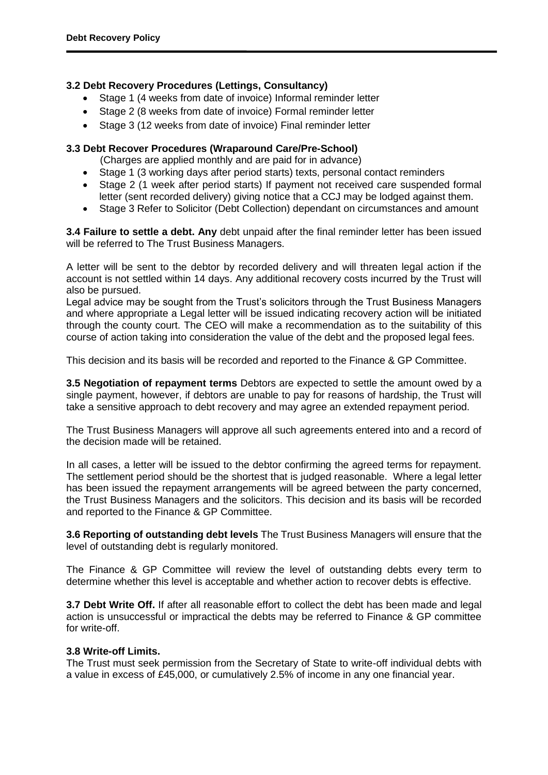## **3.2 Debt Recovery Procedures (Lettings, Consultancy)**

- Stage 1 (4 weeks from date of invoice) Informal reminder letter
- Stage 2 (8 weeks from date of invoice) Formal reminder letter
- Stage 3 (12 weeks from date of invoice) Final reminder letter

# **3.3 Debt Recover Procedures (Wraparound Care/Pre-School)**

(Charges are applied monthly and are paid for in advance)

- Stage 1 (3 working days after period starts) texts, personal contact reminders
- Stage 2 (1 week after period starts) If payment not received care suspended formal letter (sent recorded delivery) giving notice that a CCJ may be lodged against them.
- Stage 3 Refer to Solicitor (Debt Collection) dependant on circumstances and amount

**3.4 Failure to settle a debt. Any** debt unpaid after the final reminder letter has been issued will be referred to The Trust Business Managers.

A letter will be sent to the debtor by recorded delivery and will threaten legal action if the account is not settled within 14 days. Any additional recovery costs incurred by the Trust will also be pursued.

Legal advice may be sought from the Trust's solicitors through the Trust Business Managers and where appropriate a Legal letter will be issued indicating recovery action will be initiated through the county court. The CEO will make a recommendation as to the suitability of this course of action taking into consideration the value of the debt and the proposed legal fees.

This decision and its basis will be recorded and reported to the Finance & GP Committee.

**3.5 Negotiation of repayment terms** Debtors are expected to settle the amount owed by a single payment, however, if debtors are unable to pay for reasons of hardship, the Trust will take a sensitive approach to debt recovery and may agree an extended repayment period.

The Trust Business Managers will approve all such agreements entered into and a record of the decision made will be retained.

In all cases, a letter will be issued to the debtor confirming the agreed terms for repayment. The settlement period should be the shortest that is judged reasonable. Where a legal letter has been issued the repayment arrangements will be agreed between the party concerned, the Trust Business Managers and the solicitors. This decision and its basis will be recorded and reported to the Finance & GP Committee.

**3.6 Reporting of outstanding debt levels** The Trust Business Managers will ensure that the level of outstanding debt is regularly monitored.

The Finance & GP Committee will review the level of outstanding debts every term to determine whether this level is acceptable and whether action to recover debts is effective.

**3.7 Debt Write Off.** If after all reasonable effort to collect the debt has been made and legal action is unsuccessful or impractical the debts may be referred to Finance & GP committee for write-off.

## **3.8 Write-off Limits.**

The Trust must seek permission from the Secretary of State to write-off individual debts with a value in excess of £45,000, or cumulatively 2.5% of income in any one financial year.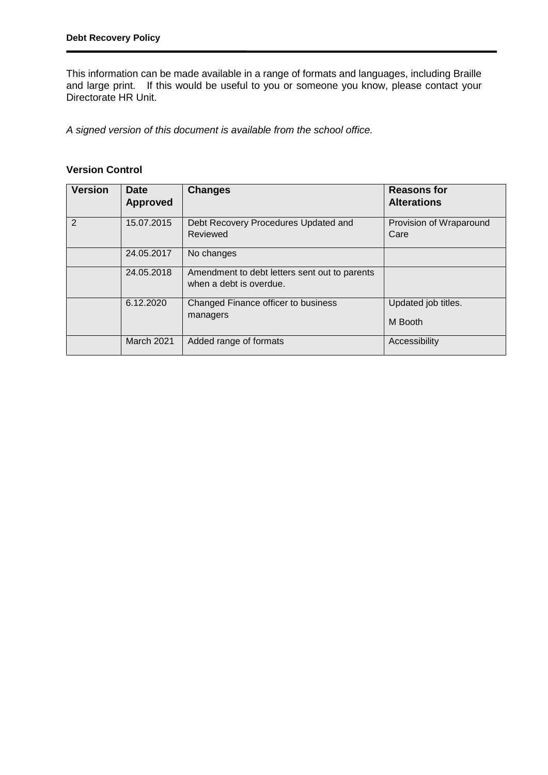This information can be made available in a range of formats and languages, including Braille and large print. If this would be useful to you or someone you know, please contact your Directorate HR Unit.

*A signed version of this document is available from the school office.*

# **Version Control**

| <b>Version</b> | <b>Date</b><br><b>Approved</b> | <b>Changes</b>                                                           | <b>Reasons for</b><br><b>Alterations</b> |
|----------------|--------------------------------|--------------------------------------------------------------------------|------------------------------------------|
| $\overline{2}$ | 15.07.2015                     | Debt Recovery Procedures Updated and<br>Reviewed                         | Provision of Wraparound<br>Care          |
|                | 24.05.2017                     | No changes                                                               |                                          |
|                | 24.05.2018                     | Amendment to debt letters sent out to parents<br>when a debt is overdue. |                                          |
|                | 6.12.2020                      | Changed Finance officer to business<br>managers                          | Updated job titles.<br>M Booth           |
|                | March 2021                     | Added range of formats                                                   | Accessibility                            |